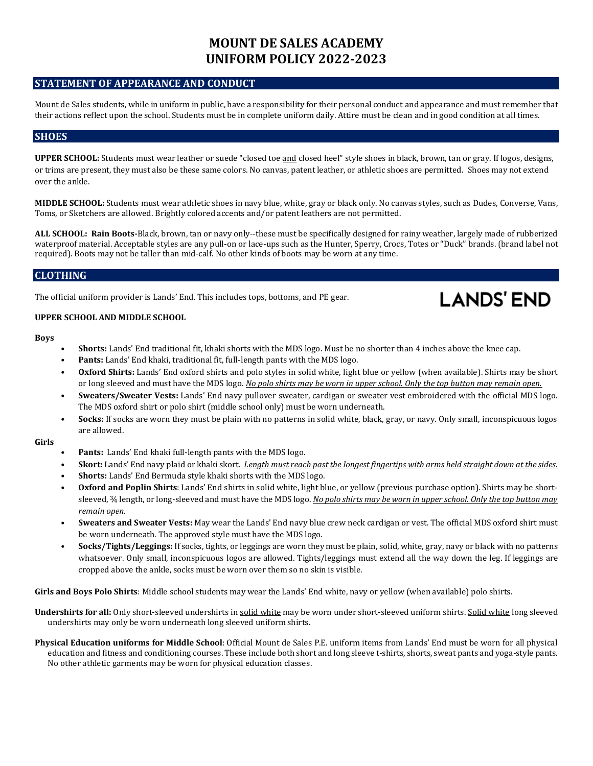# **MOUNT DE SALES ACADEMY UNIFORM POLICY 2022-2023**

# **STATEMENT OF APPEARANCE AND CONDUCT**

Mount de Sales students, while in uniform in public, have a responsibility for their personal conduct and appearance and must remember that their actions reflect upon the school. Students must be in complete uniform daily. Attire must be clean and in good condition at all times.

## **SHOES**

**UPPER SCHOOL:** Students must wear leather or suede "closed toe and closed heel" style shoes in black, brown, tan or gray. If logos, designs, or trims are present, they must also be these same colors. No canvas, patent leather, or athletic shoes are permitted. Shoes may not extend over the ankle.

**MIDDLE SCHOOL:** Students must wear athletic shoes in navy blue, white, gray or black only. No canvas styles, such as Dudes, Converse, Vans, Toms, or Sketchers are allowed. Brightly colored accents and/or patent leathers are not permitted.

**ALL SCHOOL: Rain Boots-**Black, brown, tan or navy only--these must be specifically designed for rainy weather, largely made of rubberized waterproof material. Acceptable styles are any pull-on or lace-ups such as the Hunter, Sperry, Crocs, Totes or "Duck" brands. (brand label not required). Boots may not be taller than mid-calf. No other kinds of boots may be worn at any time.

## **CLOTHING**

The official uniform provider is Lands' End. This includes tops, bottoms, and PE gear.

## **UPPER SCHOOL AND MIDDLE SCHOOL**

#### **Boys**

- **Shorts:** Lands' End traditional fit, khaki shorts with the MDS logo. Must be no shorter than 4 inches above the knee cap.
- **Pants:** Lands' End khaki, traditional fit, full-length pants with the MDS logo.
- **Oxford Shirts:** Lands' End oxford shirts and polo styles in solid white, light blue or yellow (when available). Shirts may be short or long sleeved and must have the MDS logo. *No polo shirts may be worn in upper school. Only the top button may remain open.*

**LANDS' END** 

- **Sweaters/Sweater Vests:** Lands' End navy pullover sweater, cardigan or sweater vest embroidered with the official MDS logo. The MDS oxford shirt or polo shirt (middle school only) must be worn underneath.
- **Socks:** If socks are worn they must be plain with no patterns in solid white, black, gray, or navy. Only small, inconspicuous logos are allowed.

#### **Girls**

- **Pants:** Lands' End khaki full-length pants with the MDS logo.
- **Skort:** Lands' End navy plaid or khaki skort. *Length must reach past the longest fingertips with arms held straight down at the sides.*
- **Shorts:** Lands' End Bermuda style khaki shorts with the MDS logo.
- **Oxford and Poplin Shirts**: Lands' End shirts in solid white, light blue, or yellow (previous purchase option). Shirts may be shortsleeved, ¾ length, or long-sleeved and must have the MDS logo. *No polo shirts may be worn in upper school. Only the top button may remain open.*
- **Sweaters and Sweater Vests:** May wear the Lands' End navy blue crew neck cardigan or vest. The official MDS oxford shirt must be worn underneath. The approved style must have the MDS logo.
- **Socks/Tights/Leggings:** If socks, tights, or leggings are worn they must be plain, solid, white, gray, navy or black with no patterns whatsoever. Only small, inconspicuous logos are allowed. Tights/leggings must extend all the way down the leg. If leggings are cropped above the ankle, socks must be worn over them so no skin is visible.

**Girls and Boys Polo Shirts**: Middle school students may wear the Lands' End white, navy or yellow (when available) polo shirts.

Undershirts for all: Only short-sleeved undershirts in solid white may be worn under short-sleeved uniform shirts. Solid white long sleeved undershirts may only be worn underneath long sleeved uniform shirts.

**Physical Education uniforms for Middle School**: Official Mount de Sales P.E. uniform items from Lands' End must be worn for all physical education and fitness and conditioning courses. These include both short and long sleeve t-shirts, shorts, sweat pants and yoga-style pants. No other athletic garments may be worn for physical education classes.